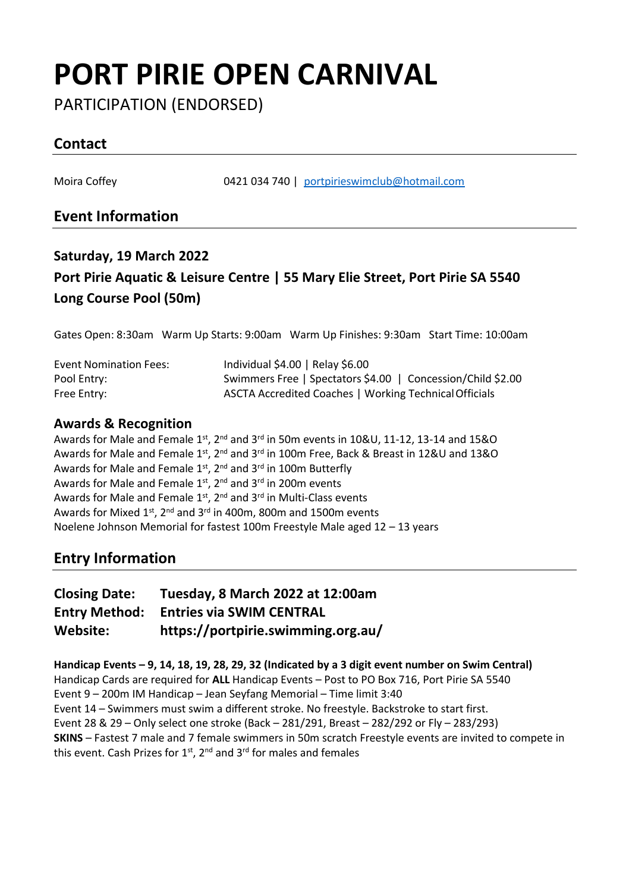# **PORT PIRIE OPEN CARNIVAL**

PARTICIPATION (ENDORSED)

### **Contact**

Moira Coffey 0421 034 740 | [portpirieswimclub@hotmail.com](mailto:portpirieswimclub@hotmail.com)

### **Event Information**

## **Saturday, 19 March 2022 Port Pirie Aquatic & Leisure Centre | 55 Mary Elie Street, Port Pirie SA 5540 Long Course Pool (50m)**

Gates Open: 8:30am Warm Up Starts: 9:00am Warm Up Finishes: 9:30am Start Time: 10:00am

| <b>Event Nomination Fees:</b> | Individual \$4.00   Relay \$6.00                            |
|-------------------------------|-------------------------------------------------------------|
| Pool Entry:                   | Swimmers Free   Spectators \$4.00   Concession/Child \$2.00 |
| Free Entry:                   | ASCTA Accredited Coaches   Working Technical Officials      |

#### **Awards & Recognition**

Awards for Male and Female  $1<sup>st</sup>$ ,  $2<sup>nd</sup>$  and  $3<sup>rd</sup>$  in 50m events in  $10&0, 11-12, 13-14$  and  $15&0$ Awards for Male and Female 1st,  $2^{nd}$  and  $3^{rd}$  in 100m Free, Back & Breast in 12&U and 13&O Awards for Male and Female 1st, 2<sup>nd</sup> and 3<sup>rd</sup> in 100m Butterfly Awards for Male and Female  $1<sup>st</sup>$ ,  $2<sup>nd</sup>$  and  $3<sup>rd</sup>$  in 200m events Awards for Male and Female 1st, 2nd and 3rd in Multi-Class events Awards for Mixed  $1^{st}$ ,  $2^{nd}$  and  $3^{rd}$  in 400m, 800m and 1500m events Noelene Johnson Memorial for fastest 100m Freestyle Male aged 12 – 13 years

#### **Entry Information**

| <b>Closing Date:</b> | Tuesday, 8 March 2022 at 12:00am   |
|----------------------|------------------------------------|
| <b>Entry Method:</b> | <b>Entries via SWIM CENTRAL</b>    |
| Website:             | https://portpirie.swimming.org.au/ |

**Handicap Events – 9, 14, 18, 19, 28, 29, 32 (Indicated by a 3 digit event number on Swim Central)** Handicap Cards are required for **ALL** Handicap Events – Post to PO Box 716, Port Pirie SA 5540 Event 9 – 200m IM Handicap – Jean Seyfang Memorial – Time limit 3:40 Event 14 – Swimmers must swim a different stroke. No freestyle. Backstroke to start first. Event 28 & 29 – Only select one stroke (Back – 281/291, Breast – 282/292 or Fly – 283/293) **SKINS** – Fastest 7 male and 7 female swimmers in 50m scratch Freestyle events are invited to compete in this event. Cash Prizes for  $1^{st}$ ,  $2^{nd}$  and  $3^{rd}$  for males and females